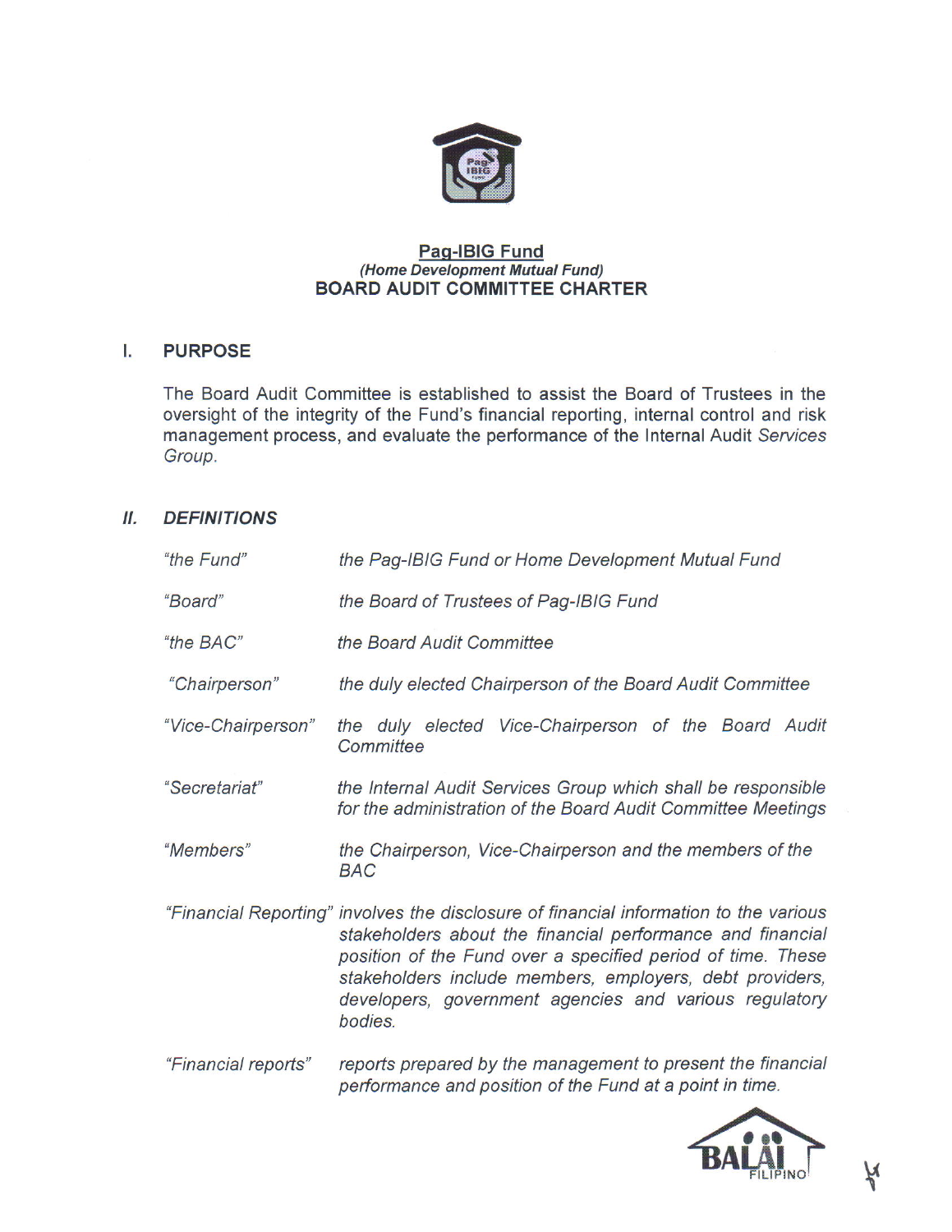

## Paq-lBlG Fund (Home Development Mutual Fund) BOARD AUDIT COMMITTEE CHARTER

### l. PURPOSE

The Board Audit Committee is established to assist the Board of Trustees in the oversight of the integrity of the Fund's financial reporting, internal control and risk management process, and evaluate the performance of the Internal Audit Services Group.

#### $II.$ **DEFINITIONS**

| "the Fund"         | the Pag-IBIG Fund or Home Development Mutual Fund                                                                                                                                                                                                                                                                                                   |
|--------------------|-----------------------------------------------------------------------------------------------------------------------------------------------------------------------------------------------------------------------------------------------------------------------------------------------------------------------------------------------------|
| "Board"            | the Board of Trustees of Pag-IBIG Fund                                                                                                                                                                                                                                                                                                              |
| "the BAC"          | the Board Audit Committee                                                                                                                                                                                                                                                                                                                           |
| "Chairperson"      | the duly elected Chairperson of the Board Audit Committee                                                                                                                                                                                                                                                                                           |
| "Vice-Chairperson" | the duly elected Vice-Chairperson of the Board Audit<br>Committee                                                                                                                                                                                                                                                                                   |
| "Secretariat"      | the Internal Audit Services Group which shall be responsible<br>for the administration of the Board Audit Committee Meetings                                                                                                                                                                                                                        |
| "Members"          | the Chairperson, Vice-Chairperson and the members of the<br><b>BAC</b>                                                                                                                                                                                                                                                                              |
|                    | "Financial Reporting" involves the disclosure of financial information to the various<br>stakeholders about the financial performance and financial<br>position of the Fund over a specified period of time. These<br>stakeholders include members, employers, debt providers,<br>developers, government agencies and various regulatory<br>bodies. |
|                    | $\theta$ Fine use of all property the property in the second less than the property of the fine property of $\theta$                                                                                                                                                                                                                                |

'Financial repofts' repofts prepared by the management to present the financial performance and position of the Fund at a point in time.